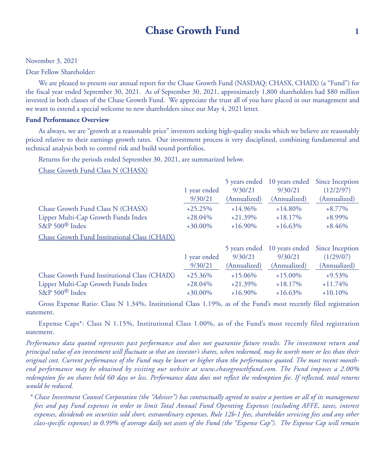November 3, 2021

Dear Fellow Shareholder:

We are pleased to present our annual report for the Chase Growth Fund (NASDAQ: CHASX, CHAIX) (a "Fund") for the fiscal year ended September 30, 2021. As of September 30, 2021, approximately 1,800 shareholders had \$80 million invested in both classes of the Chase Growth Fund. We appreciate the trust all of you have placed in our management and we want to extend a special welcome to new shareholders since our May 4, 2021 letter.

#### **Fund Performance Overview**

As always, we are "growth at a reasonable price" investors seeking high-quality stocks which we believe are reasonably priced relative to their earnings growth rates. Our investment process is very disciplined, combining fundamental and technical analysis both to control risk and build sound portfolios.

Returns for the periods ended September 30, 2021, are summarized below.

Chase Growth Fund Class N (CHASX)

|                                     |              |              |              | 5 years ended 10 years ended Since Inception |
|-------------------------------------|--------------|--------------|--------------|----------------------------------------------|
|                                     | 1 year ended | 9/30/21      | 9/30/21      | (12/2/97)                                    |
|                                     | 9/30/21      | (Annualized) | (Annualized) | (Annualized)                                 |
| Chase Growth Fund Class N (CHASX)   | $+25.25\%$   | $+14.96\%$   | $+14.80\%$   | $+8.77\%$                                    |
| Lipper Multi-Cap Growth Funds Index | $+28.04\%$   | $+21.39\%$   | $+18.17\%$   | $+8.99\%$                                    |
| S&P 500 <sup>®</sup> Index          | $+30.00\%$   | $+16.90\%$   | $+16.63\%$   | $+8.46%$                                     |
|                                     |              |              |              |                                              |

Chase Growth Fund Institutional Class (CHAIX)

|                                               |              |              | 5 years ended 10 years ended Since Inception |              |
|-----------------------------------------------|--------------|--------------|----------------------------------------------|--------------|
|                                               | 1 year ended | 9/30/21      | 9/30/21                                      | (1/29/07)    |
|                                               | 9/30/21      | (Annualized) | (Annualized)                                 | (Annualized) |
| Chase Growth Fund Institutional Class (CHAIX) | $+25.36\%$   | $+15.06\%$   | $+15.00\%$                                   | $+9.53\%$    |
| Lipper Multi-Cap Growth Funds Index           | $+28.04\%$   | $+21.39\%$   | $+18.17\%$                                   | $+11.74\%$   |
| $S\&P 500^{\circledR}$ Index                  | $+30.00\%$   | $+16.90\%$   | $+16.63\%$                                   | $+10.10\%$   |

Gross Expense Ratio: Class N 1.34%, Institutional Class 1.19%, as of the Fund's most recently filed registration statement.

Expense Caps\*: Class N 1.15%, Institutional Class 1.00%, as of the Fund's most recently filed registration statement.

*Performance data quoted represents past performance and does not guarantee future results. The investment return and principal value of an investment will fluctuate so that an investor's shares, when redeemed, may be worth more or less than their original cost. Current performance of the Fund may be lower or higher than the performance quoted. The most recent monthend performance may be obtained by visiting our website at www.chasegrowthfund.com. The Fund imposes a 2.00% redemption fee on shares held 60 days or less. Performance data does not reflect the redemption fee. If reflected, total returns would be reduced.*

*\* Chase Investment Counsel Corporation (the "Adviser") has contractually agreed to waive a portion or all of its management fees and pay Fund expenses in order to limit Total Annual Fund Operating Expenses (excluding AFFE, taxes, interest expenses, dividends on securities sold short, extraordinary expenses, Rule 12b-1 fees, shareholder servicing fees and any other class-specific expenses) to 0.99% of average daily net assets of the Fund (the "Expense Cap"). The Expense Cap will remain*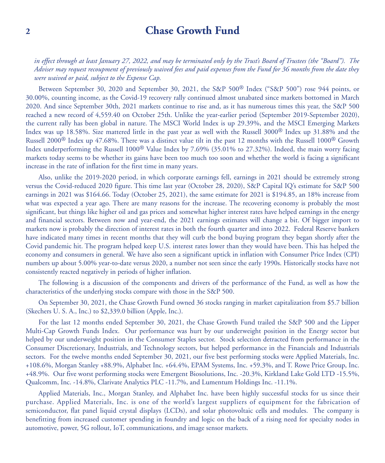*in effect through at least January 27, 2022, and may be terminated only by the Trust's Board of Trustees (the "Board"). The Adviser may request recoupment of previously waived fees and paid expenses from the Fund for 36 months from the date they were waived or paid, subject to the Expense Cap.*

Between September 30, 2020 and September 30, 2021, the S&P 500® Index ("S&P 500") rose 944 points, or 30.00%, counting income, as the Covid-19 recovery rally continued almost unabated since markets bottomed in March 2020. And since September 30th, 2021 markets continue to rise and, as it has numerous times this year, the S&P 500 reached a new record of 4,559.40 on October 25th. Unlike the year-earlier period (September 2019-September 2020), the current rally has been global in nature. The MSCI World Index is up 29.39%, and the MSCI Emerging Markets Index was up 18.58%. Size mattered little in the past year as well with the Russell 3000® Index up 31.88% and the Russell 2000® Index up 47.68%. There was a distinct value tilt in the past 12 months with the Russell 1000® Growth Index underperforming the Russell 1000® Value Index by 7.69% (35.01% to 27.32%). Indeed, the main worry facing markets today seems to be whether its gains have been too much too soon and whether the world is facing a significant increase in the rate of inflation for the first time in many years.

Also, unlike the 2019-2020 period, in which corporate earnings fell, earnings in 2021 should be extremely strong versus the Covid-reduced 2020 figure. This time last year (October 28, 2020), S&P Capital IQ's estimate for S&P 500 earnings in 2021 was \$164.66. Today (October 25, 2021), the same estimate for 2021 is \$194.85, an 18% increase from what was expected a year ago. There are many reasons for the increase. The recovering economy is probably the most significant, but things like higher oil and gas prices and somewhat higher interest rates have helped earnings in the energy and financial sectors. Between now and year-end, the 2021 earnings estimates will change a bit. Of bigger import to markets now is probably the direction of interest rates in both the fourth quarter and into 2022. Federal Reserve bankers have indicated many times in recent months that they will curb the bond buying program they began shortly after the Covid pandemic hit. The program helped keep U.S. interest rates lower than they would have been. This has helped the economy and consumers in general. We have also seen a significant uptick in inflation with Consumer Price Index (CPI) numbers up about 5.00% year-to-date versus 2020, a number not seen since the early 1990s. Historically stocks have not consistently reacted negatively in periods of higher inflation.

The following is a discussion of the components and drivers of the performance of the Fund, as well as how the characteristics of the underlying stocks compare with those in the S&P 500.

On September 30, 2021, the Chase Growth Fund owned 36 stocks ranging in market capitalization from \$5.7 billion (Skechers U. S. A., Inc.) to \$2,339.0 billion (Apple, Inc.).

For the last 12 months ended September 30, 2021, the Chase Growth Fund trailed the S&P 500 and the Lipper Multi-Cap Growth Funds Index. Our performance was hurt by our underweight position in the Energy sector but helped by our underweight position in the Consumer Staples sector. Stock selection detracted from performance in the Consumer Discretionary, Industrials, and Technology sectors, but helped performance in the Financials and Industrials sectors. For the twelve months ended September 30, 2021, our five best performing stocks were Applied Materials, Inc. +108.6%, Morgan Stanley +88.9%, Alphabet Inc. +64.4%, EPAM Systems, Inc. +59.3%, and T. Rowe Price Group, Inc. +48.9%. Our five worst performing stocks were Emergent Biosolutions, Inc. -20.3%, Kirkland Lake Gold LTD -15.5%, Qualcomm, Inc. -14.8%, Clarivate Analytics PLC -11.7%, and Lumentum Holdings Inc. -11.1%.

Applied Materials, Inc., Morgan Stanley, and Alphabet Inc. have been highly successful stocks for us since their purchase. Applied Materials, Inc. is one of the world's largest suppliers of equipment for the fabrication of semiconductor, flat panel liquid crystal displays (LCDs), and solar photovoltaic cells and modules. The company is benefitting from increased customer spending in foundry and logic on the back of a rising need for specialty nodes in automotive, power, 5G rollout, IoT, communications, and image sensor markets.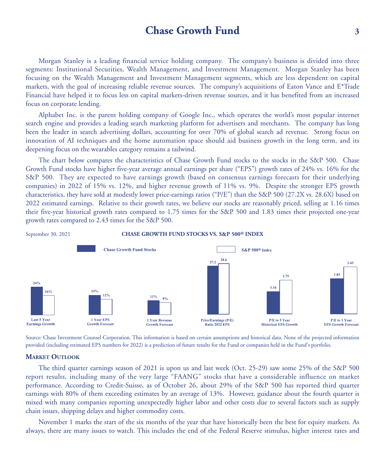Morgan Stanley is a leading financial service holding company. The company's business is divided into three segments: Institutional Securities, Wealth Management, and Investment Management. Morgan Stanley has been focusing on the Wealth Management and Investment Management segments, which are less dependent on capital markets, with the goal of increasing reliable revenue sources. The company's acquisitions of Eaton Vance and E\*Trade Financial have helped it to focus less on capital markets-driven revenue sources, and it has benefited from an increased focus on corporate lending.

Alphabet Inc. is the parent holding company of Google Inc., which operates the world's most popular internet search engine and provides a leading search marketing platform for advertisers and merchants. The company has long been the leader in search advertising dollars, accounting for over 70% of global search ad revenue. Strong focus on innovation of AI techniques and the home automation space should aid business growth in the long term, and its deepening focus on the wearables category remains a tailwind.

The chart below compares the characteristics of Chase Growth Fund stocks to the stocks in the S&P 500. Chase Growth Fund stocks have higher five-year average annual earnings per share ("EPS") growth rates of 24% vs. 16% for the S&P 500. They are expected to have earnings growth (based on consensus earnings forecasts for their underlying companies) in 2022 of 15% vs. 12%, and higher revenue growth of 11% vs. 9%. Despite the stronger EPS growth characteristics, they have sold at modestly lower price-earnings ratios ("P/E") than the S&P 500 (27.2X vs. 28.6X) based on 2022 estimated earnings. Relative to their growth rates, we believe our stocks are reasonably priced, selling at 1.16 times their five-year historical growth rates compared to 1.75 times for the S&P 500 and 1.83 times their projected one-year growth rates compared to 2.43 times for the S&P 500.



Source: Chase Investment Counsel Corporation. This information is based on certain assumptions and historical data. None of the projected information provided (including estimated EPS numbers for 2022) is a prediction of future results for the Fund or companies held in the Fund's portfolio.

#### **MARKET OUTLOOK**

The third quarter earnings season of 2021 is upon us and last week (Oct. 25-29) saw some 25% of the S&P 500 report results, including many of the very large "FAANG" stocks that have a considerable influence on market performance. According to Credit-Suisse, as of October 26, about 29% of the S&P 500 has reported third quarter earnings with 80% of them exceeding estimates by an average of 13%. However, guidance about the fourth quarter is mixed with many companies reporting unexpectedly higher labor and other costs due to several factors such as supply chain issues, shipping delays and higher commodity costs.

November 1 marks the start of the six months of the year that have historically been the best for equity markets. As always, there are many issues to watch. This includes the end of the Federal Reserve stimulus, higher interest rates and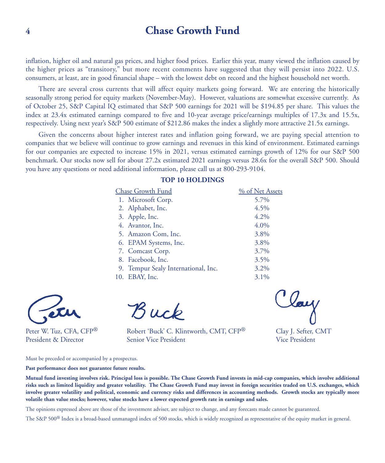inflation, higher oil and natural gas prices, and higher food prices. Earlier this year, many viewed the inflation caused by the higher prices as "transitory," but more recent comments have suggested that they will persist into 2022. U.S. consumers, at least, are in good financial shape – with the lowest debt on record and the highest household net worth.

There are several cross currents that will affect equity markets going forward. We are entering the historically seasonally strong period for equity markets (November-May). However, valuations are somewhat excessive currently. As of October 25, S&P Capital IQ estimated that S&P 500 earnings for 2021 will be \$194.85 per share. This values the index at 23.4x estimated earnings compared to five and 10-year average price/earnings multiples of 17.3x and 15.5x, respectively. Using next year's S&P 500 estimate of \$212.86 makes the index a slightly more attractive 21.5x earnings.

Given the concerns about higher interest rates and inflation going forward, we are paying special attention to companies that we believe will continue to grow earnings and revenues in this kind of environment. Estimated earnings for our companies are expected to increase 15% in 2021, versus estimated earnings growth of 12% for our S&P 500 benchmark. Our stocks now sell for about 27.2x estimated 2021 earnings versus 28.6x for the overall S&P 500. Should you have any questions or need additional information, please call us at 800-293-9104.

| <b>Chase Growth Fund</b>            | % of Net Assets |
|-------------------------------------|-----------------|
| 1. Microsoft Corp.                  | 5.7%            |
| 2. Alphabet, Inc.                   | 4.5%            |
| 3. Apple, Inc.                      | $4.2\%$         |
| 4. Avantor, Inc.                    | $4.0\%$         |
| 5. Amazon Com, Inc.                 | 3.8%            |
| 6. EPAM Systems, Inc.               | 3.8%            |
| 7. Comcast Corp.                    | 3.7%            |
| 8. Facebook, Inc.                   | 3.5%            |
| 9. Tempur Sealy International, Inc. | 3.2%            |
| 10. EBAY, Inc.                      | 3.1%            |

#### **TOP 10 HOLDINGS**



Buck

Peter W. Tuz, CFA, CFP® Robert 'Buck' C. Klintworth, CMT, CFP® Clay J. Sefter, CMT President & Director Senior Vice President Vice President

lay

Must be preceded or accompanied by a prospectus.

**Past performance does not guarantee future results.**

**Mutual fund investing involves risk. Principal loss is possible. The Chase Growth Fund invests in mid-cap companies, which involve additional risks such as limited liquidity and greater volatility. The Chase Growth Fund may invest in foreign securities traded on U.S. exchanges, which involve greater volatility and political, economic and currency risks and differences in accounting methods. Growth stocks are typically more volatile than value stocks; however, value stocks have a lower expected growth rate in earnings and sales.**

The opinions expressed above are those of the investment adviser, are subject to change, and any forecasts made cannot be guaranteed.

The S&P 500® Index is a broad-based unmanaged index of 500 stocks, which is widely recognized as representative of the equity market in general.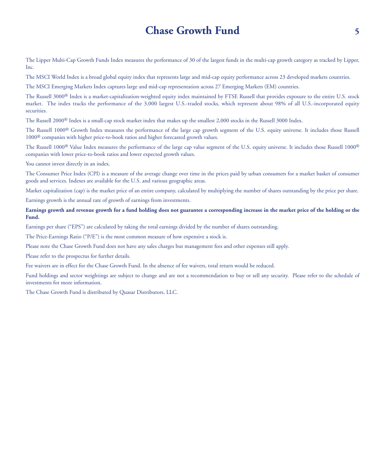The Lipper Multi-Cap Growth Funds Index measures the performance of 30 of the largest funds in the multi-cap growth category as tracked by Lipper, Inc.

The MSCI World Index is a broad global equity index that represents large and mid-cap equity performance across 23 developed markets countries.

The MSCI Emerging Markets Index captures large and mid-cap representation across 27 Emerging Markets (EM) countries.

The Russell 3000® Index is a market-capitalization-weighted equity index maintained by FTSE Russell that provides exposure to the entire U.S. stock market. The index tracks the performance of the 3,000 largest U.S.-traded stocks, which represent about 98% of all U.S.-incorporated equity securities.

The Russell 2000® Index is a small-cap stock market index that makes up the smallest 2,000 stocks in the Russell 3000 Index.

The Russell 1000® Growth Index measures the performance of the large cap growth segment of the U.S. equity universe. It includes those Russell 1000® companies with higher price-to-book ratios and higher forecasted growth values.

The Russell 1000® Value Index measures the performance of the large cap value segment of the U.S. equity universe. It includes those Russell 1000® companies with lower price-to-book ratios and lower expected growth values.

You cannot invest directly in an index.

The Consumer Price Index (CPI) is a measure of the average change over time in the prices paid by urban consumers for a market basket of consumer goods and services. Indexes are available for the U.S. and various geographic areas.

Market capitalization (cap) is the market price of an entire company, calculated by multiplying the number of shares outstanding by the price per share.

Earnings growth is the annual rate of growth of earnings from investments.

**Earnings growth and revenue growth for a fund holding does not guarantee a corresponding increase in the market price of the holding or the Fund.**

Earnings per share ("EPS") are calculated by taking the total earnings divided by the number of shares outstanding.

The Price-Earnings Ratio ("P/E") is the most common measure of how expensive a stock is.

Please note the Chase Growth Fund does not have any sales charges but management fees and other expenses still apply.

Please refer to the prospectus for further details.

Fee waivers are in effect for the Chase Growth Fund. In the absence of fee waivers, total return would be reduced.

Fund holdings and sector weightings are subject to change and are not a recommendation to buy or sell any security. Please refer to the schedule of investments for more information.

The Chase Growth Fund is distributed by Quasar Distributors, LLC.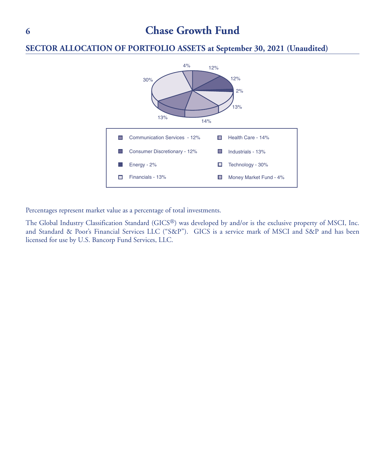#### **SECTOR ALLOCATION OF PORTFOLIO ASSETS at September 30, 2021 (Unaudited)**



Percentages represent market value as a percentage of total investments.

The Global Industry Classification Standard (GICS®) was developed by and/or is the exclusive property of MSCI, Inc. and Standard & Poor's Financial Services LLC ("S&P"). GICS is a service mark of MSCI and S&P and has been licensed for use by U.S. Bancorp Fund Services, LLC.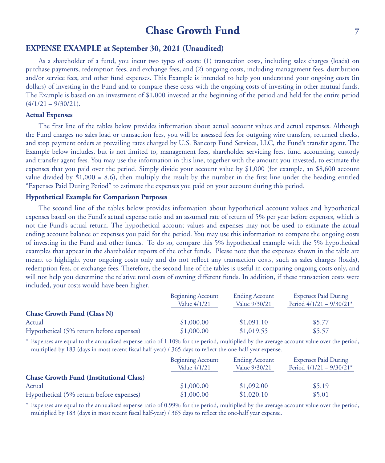#### **EXPENSE EXAMPLE at September 30, 2021 (Unaudited)**

As a shareholder of a fund, you incur two types of costs: (1) transaction costs, including sales charges (loads) on purchase payments, redemption fees, and exchange fees, and (2) ongoing costs, including management fees, distribution and/or service fees, and other fund expenses. This Example is intended to help you understand your ongoing costs (in dollars) of investing in the Fund and to compare these costs with the ongoing costs of investing in other mutual funds. The Example is based on an investment of \$1,000 invested at the beginning of the period and held for the entire period  $(4/1/21 - 9/30/21).$ 

#### **Actual Expenses**

The first line of the tables below provides information about actual account values and actual expenses. Although the Fund charges no sales load or transaction fees, you will be assessed fees for outgoing wire transfers, returned checks, and stop payment orders at prevailing rates charged by U.S. Bancorp Fund Services, LLC, the Fund's transfer agent. The Example below includes, but is not limited to, management fees, shareholder servicing fees, fund accounting, custody and transfer agent fees. You may use the information in this line, together with the amount you invested, to estimate the expenses that you paid over the period. Simply divide your account value by \$1,000 (for example, an \$8,600 account value divided by  $$1,000 = 8.6$ , then multiply the result by the number in the first line under the heading entitled "Expenses Paid During Period" to estimate the expenses you paid on your account during this period.

#### **Hypothetical Example for Comparison Purposes**

The second line of the tables below provides information about hypothetical account values and hypothetical expenses based on the Fund's actual expense ratio and an assumed rate of return of 5% per year before expenses, which is not the Fund's actual return. The hypothetical account values and expenses may not be used to estimate the actual ending account balance or expenses you paid for the period. You may use this information to compare the ongoing costs of investing in the Fund and other funds. To do so, compare this 5% hypothetical example with the 5% hypothetical examples that appear in the shareholder reports of the other funds. Please note that the expenses shown in the table are meant to highlight your ongoing costs only and do not reflect any transaction costs, such as sales charges (loads), redemption fees, or exchange fees. Therefore, the second line of the tables is useful in comparing ongoing costs only, and will not help you determine the relative total costs of owning different funds. In addition, if these transaction costs were included, your costs would have been higher.

|                                          | <b>Beginning Account</b><br>Value 4/1/21 | <b>Ending Account</b><br>Value 9/30/21 | Expenses Paid During<br>Period $4/1/21 - 9/30/21$ <sup>*</sup> |
|------------------------------------------|------------------------------------------|----------------------------------------|----------------------------------------------------------------|
| <b>Chase Growth Fund (Class N)</b>       |                                          |                                        |                                                                |
| Actual                                   | \$1,000.00                               | \$1,091,10                             | \$5.77                                                         |
| Hypothetical (5% return before expenses) | \$1,000.00                               | \$1,019.55                             | \$5.57                                                         |

\* Expenses are equal to the annualized expense ratio of 1.10% for the period, multiplied by the average account value over the period, multiplied by 183 (days in most recent fiscal half-year) / 365 days to reflect the one-half year expense.

|                                                | <b>Beginning Account</b> | <b>Ending Account</b> | Expenses Paid During                   |
|------------------------------------------------|--------------------------|-----------------------|----------------------------------------|
|                                                | Value 4/1/21             | Value 9/30/21         | Period $4/1/21 - 9/30/21$ <sup>*</sup> |
| <b>Chase Growth Fund (Institutional Class)</b> |                          |                       |                                        |
| Actual                                         | \$1,000.00               | \$1,092,00            | \$5.19                                 |
| Hypothetical (5% return before expenses)       | \$1,000.00               | \$1,020,10            | \$5.01                                 |

\* Expenses are equal to the annualized expense ratio of 0.99% for the period, multiplied by the average account value over the period, multiplied by 183 (days in most recent fiscal half-year) / 365 days to reflect the one-half year expense.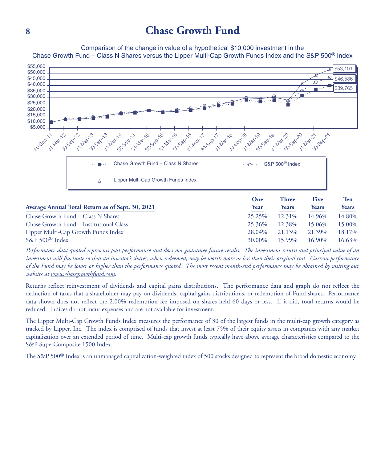Comparison of the change in value of a hypothetical \$10,000 investment in the Chase Growth Fund – Class N Shares versus the Lipper Multi-Cap Growth Funds Index and the S&P 500® Index



*Performance data quoted represents past performance and does not guarantee future results. The investment return and principal value of an investment will fluctuate so that an investor's shares, when redeemed, may be worth more or less than their original cost. Current performance of the Fund may be lower or higher than the performance quoted. The most recent month-end performance may be obtained by visiting our website at www.chasegrowthfund.com.*

S&P 500<sup>®</sup> Index 16.63% 16.63%

Returns reflect reinvestment of dividends and capital gains distributions. The performance data and graph do not reflect the deduction of taxes that a shareholder may pay on dividends, capital gains distributions, or redemption of Fund shares. Performance data shown does not reflect the 2.00% redemption fee imposed on shares held 60 days or less. If it did, total returns would be reduced. Indices do not incur expenses and are not available for investment.

The Lipper Multi-Cap Growth Funds Index measures the performance of 30 of the largest funds in the multi-cap growth category as tracked by Lipper, Inc. The index is comprised of funds that invest at least 75% of their equity assets in companies with any market capitalization over an extended period of time. Multi-cap growth funds typically have above average characteristics compared to the S&P SuperComposite 1500 Index.

The S&P 500® Index is an unmanaged capitalization-weighted index of 500 stocks designed to represent the broad domestic economy.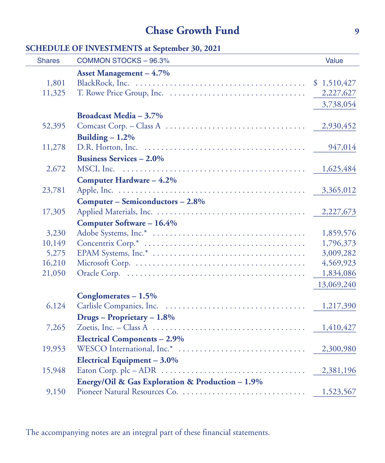### **SCHEDULE OF INVESTMENTS at September 30, 2021**

| <b>Shares</b> | <b>COMMON STOCKS - 96.3%</b>                                                                         | Value       |
|---------------|------------------------------------------------------------------------------------------------------|-------------|
|               | Asset Management $-4.7\%$                                                                            |             |
| 1,801         |                                                                                                      | \$1,510,427 |
| 11,325        |                                                                                                      | 2,227,627   |
|               |                                                                                                      | 3,738,054   |
|               | <b>Broadcast Media - 3.7%</b>                                                                        |             |
| 52,395        |                                                                                                      | 2,930,452   |
|               | Building $-1.2%$                                                                                     |             |
| 11,278        | D.R. Horton, Inc. $\dots\dots\dots\dots\dots\dots\dots\dots\dots\dots\dots\dots\dots\dots\dots\dots$ | 947,014     |
|               | <b>Business Services - 2.0%</b>                                                                      |             |
| 2,672         | MSCI, Inc.                                                                                           | 1,625,484   |
|               | Computer Hardware - 4.2%                                                                             |             |
| 23,781        |                                                                                                      | 3,365,012   |
|               | Computer - Semiconductors - 2.8%                                                                     |             |
| 17,305        |                                                                                                      | 2,227,673   |
|               | Computer Software - 16.4%                                                                            |             |
| 3,230         |                                                                                                      | 1,859,576   |
| 10,149        |                                                                                                      | 1,796,373   |
| 5,275         |                                                                                                      | 3,009,282   |
| 16,210        |                                                                                                      | 4,569,923   |
| 21,050        |                                                                                                      | 1,834,086   |
|               |                                                                                                      | 13,069,240  |
|               | Conglomerates $-1.5%$                                                                                |             |
| 6,124         |                                                                                                      |             |
|               | $Drugs - Property - 1.8%$                                                                            |             |
| 7,265         |                                                                                                      | 1,410,427   |
|               | <b>Electrical Components - 2.9%</b>                                                                  |             |
| 19,953        |                                                                                                      | 2,300,980   |
|               | Electrical Equipment $-3.0\%$                                                                        |             |
| 15,948        |                                                                                                      | 2,381,196   |
|               | Energy/Oil & Gas Exploration & Production - 1.9%                                                     |             |
| 9,150         |                                                                                                      | 1,523,567   |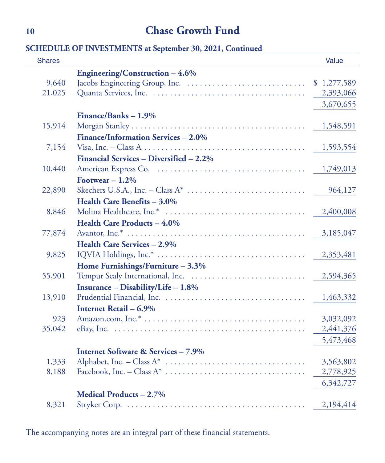### **SCHEDULE OF INVESTMENTS at September 30, 2021, Continued**

| <b>Shares</b> |                                                | Value       |
|---------------|------------------------------------------------|-------------|
|               | Engineering/Construction - 4.6%                |             |
| 9,640         |                                                | \$1,277,589 |
| 21,025        |                                                | 2,393,066   |
|               |                                                | 3,670,655   |
|               | Finance/Banks-1.9%                             |             |
| 15,914        |                                                | 1,548,591   |
|               | <b>Finance/Information Services - 2.0%</b>     |             |
| 7,154         |                                                | 1,593,554   |
|               | Financial Services - Diversified - 2.2%        |             |
| 10,440        |                                                | 1,749,013   |
|               | Footwear $-1.2\%$                              |             |
| 22,890        |                                                | 964,127     |
|               | Health Care Benefits - 3.0%                    |             |
| 8,846         |                                                | 2,400,008   |
|               | Health Care Products - 4.0%                    |             |
| 77,874        |                                                | 3,185,047   |
|               | Health Care Services - 2.9%                    |             |
| 9,825         |                                                | 2,353,481   |
|               | Home Furnishings/Furniture - 3.3%              |             |
| 55,901        |                                                | 2,594,365   |
|               | <b>Insurance - Disability/Life - 1.8%</b>      |             |
| 13,910        |                                                | 1,463,332   |
|               | <b>Internet Retail - 6.9%</b>                  |             |
| 923           |                                                | 3,032,092   |
| 35,042        |                                                | 2,441,376   |
|               |                                                | 5,473,468   |
|               | <b>Internet Software &amp; Services - 7.9%</b> |             |
| 1,333         |                                                | 3,563,802   |
| 8,188         |                                                | 2,778,925   |
|               |                                                | 6,342,727   |
|               | Medical Products - 2.7%                        |             |
| 8,321         |                                                | 2,194,414   |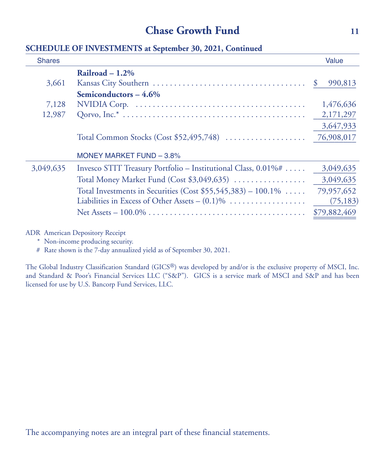#### **SCHEDULE OF INVESTMENTS at September 30, 2021, Continued**

| <b>Shares</b> |                                                                | Value        |
|---------------|----------------------------------------------------------------|--------------|
|               | Railroad $-1.2\%$                                              |              |
| 3,661         |                                                                | 990,813      |
|               | Semiconductors - 4.6%                                          |              |
| 7,128         |                                                                | 1,476,636    |
| 12,987        |                                                                | 2,171,297    |
|               |                                                                | 3,647,933    |
|               | Total Common Stocks (Cost $$52,495,748$ )                      | 76,908,017   |
|               | MONEY MARKET FUND $-3.8\%$                                     |              |
| 3,049,635     | Invesco STIT Treasury Portfolio – Institutional Class, 0.01%#  | 3,049,635    |
|               | Total Money Market Fund $(Cost $3,049,635)$                    | 3,049,635    |
|               | Total Investments in Securities (Cost $$55,545,383$ ) - 100.1% | 79,957,652   |
|               | Liabilities in Excess of Other Assets $ (0.1)\%$               | (75, 183)    |
|               |                                                                | \$79,882,469 |

ADR American Depository Receipt

- \* Non-income producing security.
- # Rate shown is the 7-day annualized yield as of September 30, 2021.

The Global Industry Classification Standard (GICS®) was developed by and/or is the exclusive property of MSCI, Inc. and Standard & Poor's Financial Services LLC ("S&P"). GICS is a service mark of MSCI and S&P and has been licensed for use by U.S. Bancorp Fund Services, LLC.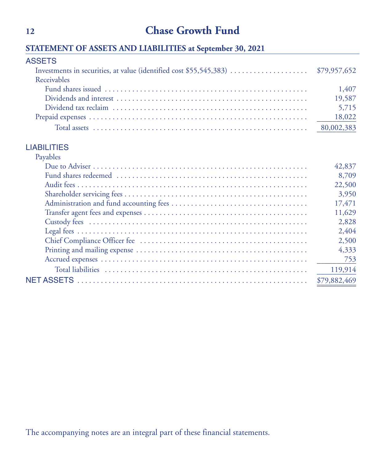### **STATEMENT OF ASSETS AND LIABILITIES at September 30, 2021**

| Receivables |                |
|-------------|----------------|
|             | $1,40^{\circ}$ |
|             | 19,587         |
|             | 5,715          |
|             |                |
|             |                |

#### **LIABILITIES**  $p = 11$

| Payables |              |
|----------|--------------|
|          | 42,837       |
|          | 8,709        |
|          | 22,500       |
|          | 3,950        |
|          | 17,471       |
|          | 11,629       |
|          | 2,828        |
|          | 2,404        |
|          | 2,500        |
|          | 4,333        |
|          | 753          |
|          | 119,914      |
|          | \$79,882,469 |
|          |              |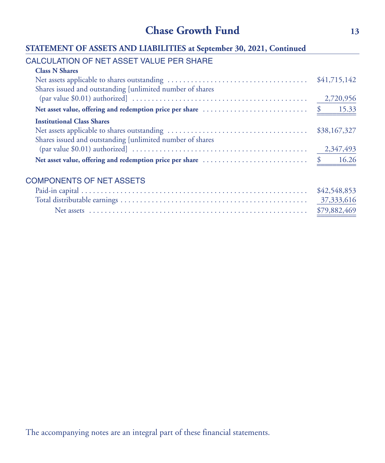### **STATEMENT OF ASSETS AND LIABILITIES at September 30, 2021, Continued**

# CALCULATION OF NET ASSET VALUE PER SHARE

| <b>Class N Shares</b>                                                                                                     |              |
|---------------------------------------------------------------------------------------------------------------------------|--------------|
|                                                                                                                           | \$41,715,142 |
| Shares issued and outstanding [unlimited number of shares                                                                 |              |
|                                                                                                                           | 2,720,956    |
| Net asset value, offering and redemption price per share $\dots \dots \dots \dots \dots \dots \dots \dots \dots$ \$ 15.33 |              |
| <b>Institutional Class Shares</b>                                                                                         |              |
|                                                                                                                           | \$38,167,327 |
| Shares issued and outstanding [unlimited number of shares                                                                 |              |
|                                                                                                                           |              |
|                                                                                                                           |              |
| <b>COMPONENTS OF NET ASSETS</b>                                                                                           |              |
|                                                                                                                           | \$42,548,853 |
|                                                                                                                           | 37, 333, 616 |
|                                                                                                                           | \$79,882,469 |
|                                                                                                                           |              |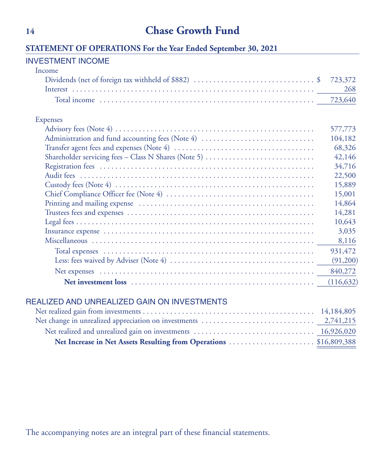### **STATEMENT OF OPERATIONS For the Year Ended September 30, 2021**

| <b>INVESTMENT INCOME</b>                                     |            |
|--------------------------------------------------------------|------------|
| Income                                                       |            |
| Dividends (net of foreign tax withheld of \$882) $\ldots$ \$ | 723,372    |
|                                                              | 268        |
|                                                              | 723,640    |
| <b>Expenses</b>                                              |            |
|                                                              | 577,773    |
| Administration and fund accounting fees (Note 4)             | 104,182    |
|                                                              | 68,326     |
| Shareholder servicing fees – Class N Shares (Note 5)         | 42,146     |
|                                                              | 34,716     |
|                                                              | 22,500     |
|                                                              | 15,889     |
|                                                              | 15,001     |
|                                                              | 14,864     |
|                                                              | 14,281     |
|                                                              | 10,643     |
|                                                              | 3,035      |
|                                                              | 8,116      |
|                                                              | 931,472    |
|                                                              | (91,200)   |
|                                                              | 840,272    |
|                                                              | (116, 632) |

### REALIZED AND UNREALIZED GAIN ON INVESTMENTS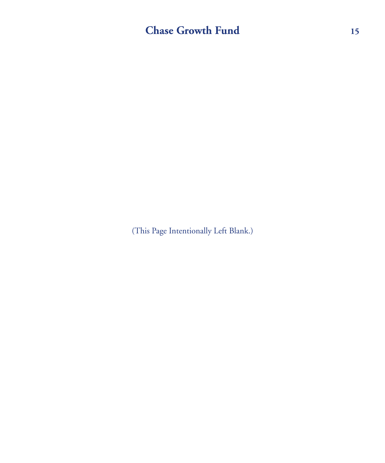(This Page Intentionally Left Blank.)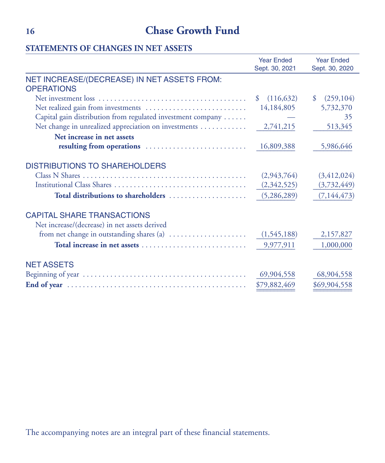### **STATEMENTS OF CHANGES IN NET ASSETS**

|                                                                  | <b>Year Ended</b><br>Sept. 30, 2021 | <b>Year Ended</b><br>Sept. 30, 2020 |
|------------------------------------------------------------------|-------------------------------------|-------------------------------------|
| NET INCREASE/(DECREASE) IN NET ASSETS FROM:<br><b>OPERATIONS</b> |                                     |                                     |
|                                                                  | (116, 632)<br>$\mathcal{S}$         | $\mathcal{S}$<br>(259, 104)         |
|                                                                  | 14,184,805                          | 5,732,370                           |
| Capital gain distribution from regulated investment company      |                                     | 35                                  |
| Net change in unrealized appreciation on investments             | 2,741,215                           | 513,345                             |
| Net increase in net assets                                       |                                     |                                     |
|                                                                  | 16,809,388                          | 5,986,646                           |
| <b>DISTRIBUTIONS TO SHAREHOLDERS</b>                             |                                     |                                     |
|                                                                  | (2,943,764)                         | (3, 412, 024)                       |
|                                                                  | (2,342,525)                         | (3,732,449)                         |
| Total distributions to shareholders                              | (5,286,289)                         | (7, 144, 473)                       |
| <b>CAPITAL SHARE TRANSACTIONS</b>                                |                                     |                                     |
| Net increase/(decrease) in net assets derived                    |                                     |                                     |
| from net change in outstanding shares (a)                        | (1,545,188)                         | 2,157,827                           |
| Total increase in net assets                                     | 9,977,911                           | 1,000,000                           |
| <b>NET ASSETS</b>                                                |                                     |                                     |
|                                                                  | 69,904,558                          | 68,904,558                          |
|                                                                  | \$79,882,469                        | \$69,904,558                        |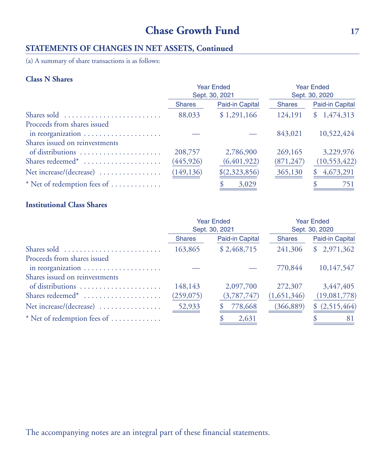### **STATEMENTS OF CHANGES IN NET ASSETS, Continued**

(a) A summary of share transactions is as follows:

### **Class N Shares**

|                                                      | <b>Year Ended</b><br>Sept. 30, 2021 |                 |               | <b>Year Ended</b><br>Sept. 30, 2020 |
|------------------------------------------------------|-------------------------------------|-----------------|---------------|-------------------------------------|
|                                                      | <b>Shares</b>                       | Paid-in Capital | <b>Shares</b> | Paid-in Capital                     |
| Shares sold                                          | 88,033                              | \$1,291,166     | 124,191       | \$1,474,313                         |
| Proceeds from shares issued                          |                                     |                 |               |                                     |
|                                                      |                                     |                 | 843,021       | 10,522,424                          |
| Shares issued on reinvestments                       |                                     |                 |               |                                     |
| of distributions                                     | 208,757                             | 2,786,900       | 269,165       | 3,229,976                           |
| Shares redeemed <sup>*</sup>                         | (445, 926)                          | (6, 401, 922)   | (871, 247)    | (10,553,422)                        |
| Net increase/(decrease) $\dots\dots\dots\dots\dots$  | (149, 136)                          | \$(2,323,856)   | 365,130       | 4,673,291                           |
| $*$ Net of redemption fees of $\dots\dots\dots\dots$ |                                     | 3,029           |               | 751                                 |

### **Institutional Class Shares**

|                                                      | <b>Year Ended</b><br>Sept. 30, 2021 |                 |               | <b>Year Ended</b><br>Sept. 30, 2020 |
|------------------------------------------------------|-------------------------------------|-----------------|---------------|-------------------------------------|
|                                                      | <b>Shares</b>                       | Paid-in Capital | <b>Shares</b> | Paid-in Capital                     |
| Shares sold                                          | 163,865                             | \$2,468,715     | 241,306       | \$2,971,362                         |
| Proceeds from shares issued                          |                                     |                 |               |                                     |
|                                                      |                                     |                 | 770,844       | 10,147,547                          |
| Shares issued on reinvestments                       |                                     |                 |               |                                     |
| of distributions                                     | 148,143                             | 2,097,700       | 272,307       | 3,447,405                           |
| Shares redeemed <sup>*</sup>                         | (259,075)                           | (3,787,747)     | (1,651,346)   | (19,081,778)                        |
| Net increase/(decrease) $\dots\dots\dots\dots\dots$  | 52,933                              | 778,668         | (366, 889)    | \$(2,515,464)                       |
| $*$ Net of redemption fees of $\dots\dots\dots\dots$ |                                     | 2,631           |               | -81                                 |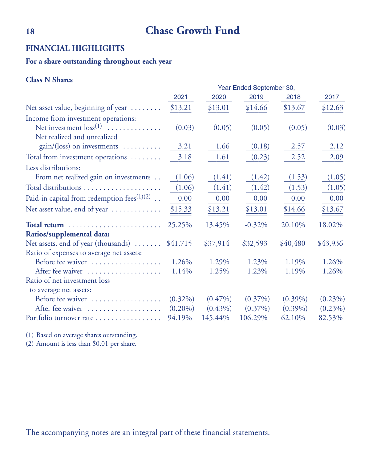### **FINANCIAL HIGHLIGHTS**

### **For a share outstanding throughout each year**

#### **Class N Shares**

|                                                                 | Year Ended September 30, |            |            |            |            |
|-----------------------------------------------------------------|--------------------------|------------|------------|------------|------------|
|                                                                 | 2021                     | 2020       | 2019       | 2018       | 2017       |
| Net asset value, beginning of year                              | \$13.21                  | \$13.01    | \$14.66    | \$13.67    | \$12.63    |
| Income from investment operations:                              |                          |            |            |            |            |
| Net investment $loss^{(1)}$                                     | (0.03)                   | (0.05)     | (0.05)     | (0.05)     | (0.03)     |
| Net realized and unrealized                                     |                          |            |            |            |            |
| $gain/(\text{loss})$ on investments $\ldots \ldots \ldots$      | 3.21                     | 1.66       | (0.18)     | 2.57       | 2.12       |
| Total from investment operations                                | 3.18                     | 1.61       | (0.23)     | 2.52       | 2.09       |
| Less distributions:                                             |                          |            |            |            |            |
| From net realized gain on investments                           | (1.06)                   | (1.41)     | (1.42)     | (1.53)     | (1.05)     |
|                                                                 | (1.06)                   | (1.41)     | (1.42)     | (1.53)     | (1.05)     |
| Paid-in capital from redemption fees <sup>(1)(2)</sup>          | 0.00                     | 0.00       | 0.00       | 0.00       | 0.00       |
| Net asset value, end of year                                    | \$15.33                  | \$13.21    | \$13.01    | \$14.66    | \$13.67    |
| Total return $\ldots \ldots \ldots \ldots \ldots \ldots \ldots$ | 25.25%                   | 13.45%     | $-0.32\%$  | 20.10%     | 18.02%     |
| Ratios/supplemental data:                                       |                          |            |            |            |            |
| Net assets, end of year (thousands)                             | \$41,715                 | \$37,914   | \$32,593   | \$40,480   | \$43,936   |
| Ratio of expenses to average net assets:                        |                          |            |            |            |            |
| Before fee waiver                                               | 1.26%                    | 1.29%      | 1.23%      | 1.19%      | 1.26%      |
| After fee waiver                                                | 1.14%                    | 1.25%      | 1.23%      | 1.19%      | 1.26%      |
| Ratio of net investment loss                                    |                          |            |            |            |            |
| to average net assets:                                          |                          |            |            |            |            |
| Before fee waiver                                               | $(0.32\%)$               | $(0.47\%)$ | $(0.37\%)$ | $(0.39\%)$ | $(0.23\%)$ |
| After fee waiver                                                | $(0.20\%)$               | $(0.43\%)$ | $(0.37\%)$ | $(0.39\%)$ | $(0.23\%)$ |
| Portfolio turnover rate                                         | 94.19%                   | 145.44%    | 106.29%    | 62.10%     | 82.53%     |

(1) Based on average shares outstanding.

(2) Amount is less than \$0.01 per share.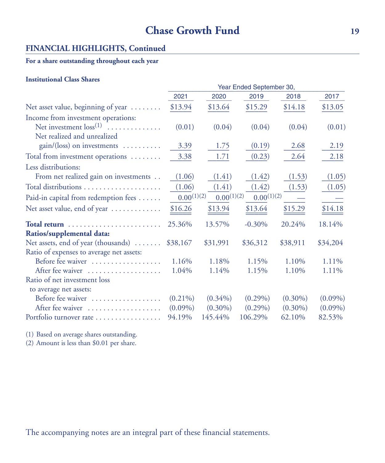#### **FINANCIAL HIGHLIGHTS, Continued**

#### **For a share outstanding throughout each year**

#### **Institutional Class Shares**

|                                                            | Year Ended September 30, |                 |                 |            |            |
|------------------------------------------------------------|--------------------------|-----------------|-----------------|------------|------------|
|                                                            | 2021                     | 2020            | 2019            | 2018       | 2017       |
| Net asset value, beginning of year $\dots\dots$            | \$13.94                  | \$13.64         | \$15.29         | \$14.18    | \$13.05    |
| Income from investment operations:                         |                          |                 |                 |            |            |
| Net investment $loss^{(1)}$<br>.                           | (0.01)                   | (0.04)          | (0.04)          | (0.04)     | (0.01)     |
| Net realized and unrealized                                |                          |                 |                 |            |            |
| $gain/(\text{loss})$ on investments $\ldots \ldots \ldots$ | 3.39                     | 1.75            | (0.19)          | 2.68       | 2.19       |
| Total from investment operations                           | 3.38                     | 1.71            | (0.23)          | 2.64       | 2.18       |
| Less distributions:                                        |                          |                 |                 |            |            |
| From net realized gain on investments                      | (1.06)                   | (1.41)          | (1.42)          | (1.53)     | (1.05)     |
|                                                            | (1.06)                   | (1.41)          | (1.42)          | (1.53)     | (1.05)     |
| Paid-in capital from redemption fees                       | $0.00^{(1)(2)}$          | $0.00^{(1)(2)}$ | $0.00^{(1)(2)}$ |            |            |
| Net asset value, end of year                               | \$16.26                  | \$13.94         | \$13.64         | \$15.29    | \$14.18    |
| Total return                                               | 25.36%                   | 13.57%          | $-0.30\%$       | 20.24%     | 18.14%     |
| Ratios/supplemental data:                                  |                          |                 |                 |            |            |
| Net assets, end of year (thousands)                        | \$38,167                 | \$31,991        | \$36,312        | \$38,911   | \$34,204   |
| Ratio of expenses to average net assets:                   |                          |                 |                 |            |            |
| Before fee waiver                                          | 1.16%                    | 1.18%           | 1.15%           | 1.10%      | 1.11%      |
| After fee waiver                                           | 1.04%                    | 1.14%           | 1.15%           | 1.10%      | 1.11%      |
| Ratio of net investment loss                               |                          |                 |                 |            |            |
| to average net assets:                                     |                          |                 |                 |            |            |
| Before fee waiver                                          | $(0.21\%)$               | $(0.34\%)$      | $(0.29\%)$      | $(0.30\%)$ | $(0.09\%)$ |
| After fee waiver                                           | $(0.09\%)$               | $(0.30\%)$      | $(0.29\%)$      | $(0.30\%)$ | $(0.09\%)$ |
| Portfolio turnover rate                                    | 94.19%                   | 145.44%         | 106.29%         | 62.10%     | 82.53%     |

(1) Based on average shares outstanding.

(2) Amount is less than \$0.01 per share.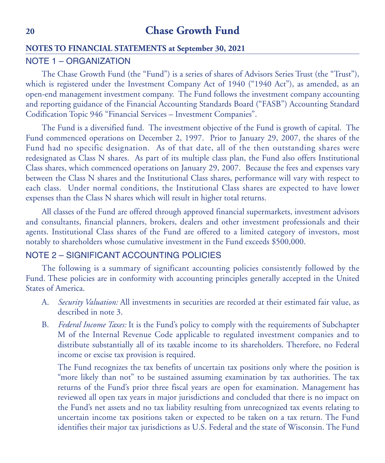# NOTE 1 – ORGANIZATION **NOTES TO FINANCIAL STATEMENTS at September 30, 2021**

The Chase Growth Fund (the "Fund") is a series of shares of Advisors Series Trust (the "Trust"), which is registered under the Investment Company Act of 1940 ("1940 Act"), as amended, as an open-end management investment company. The Fund follows the investment company accounting and reporting guidance of the Financial Accounting Standards Board ("FASB") Accounting Standard Codification Topic 946 "Financial Services – Investment Companies".

The Fund is a diversified fund. The investment objective of the Fund is growth of capital. The Fund commenced operations on December 2, 1997. Prior to January 29, 2007, the shares of the Fund had no specific designation. As of that date, all of the then outstanding shares were redesignated as Class N shares. As part of its multiple class plan, the Fund also offers Institutional Class shares, which commenced operations on January 29, 2007. Because the fees and expenses vary between the Class N shares and the Institutional Class shares, performance will vary with respect to each class. Under normal conditions, the Institutional Class shares are expected to have lower expenses than the Class N shares which will result in higher total returns.

All classes of the Fund are offered through approved financial supermarkets, investment advisors and consultants, financial planners, brokers, dealers and other investment professionals and their agents. Institutional Class shares of the Fund are offered to a limited category of investors, most notably to shareholders whose cumulative investment in the Fund exceeds \$500,000.

#### NOTE 2 – SIGNIFICANT ACCOUNTING POLICIES

The following is a summary of significant accounting policies consistently followed by the Fund. These policies are in conformity with accounting principles generally accepted in the United States of America.

- A. *Security Valuation:* All investments in securities are recorded at their estimated fair value, as described in note 3.
- B. *Federal Income Taxes:* It is the Fund's policy to comply with the requirements of Subchapter M of the Internal Revenue Code applicable to regulated investment companies and to distribute substantially all of its taxable income to its shareholders. Therefore, no Federal income or excise tax provision is required.

The Fund recognizes the tax benefits of uncertain tax positions only where the position is "more likely than not" to be sustained assuming examination by tax authorities. The tax returns of the Fund's prior three fiscal years are open for examination. Management has reviewed all open tax years in major jurisdictions and concluded that there is no impact on the Fund's net assets and no tax liability resulting from unrecognized tax events relating to uncertain income tax positions taken or expected to be taken on a tax return. The Fund identifies their major tax jurisdictions as U.S. Federal and the state of Wisconsin. The Fund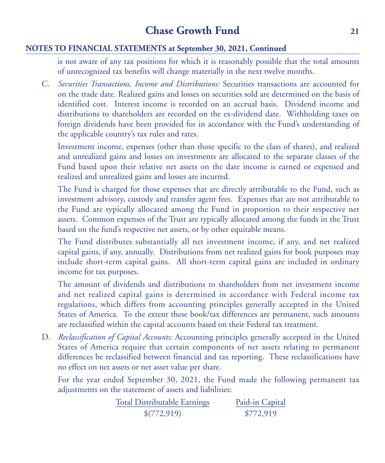#### **NOTES TO FINANCIAL STATEMENTS at September 30, 2021, Continued**

is not aware of any tax positions for which it is reasonably possible that the total amounts of unrecognized tax benefits will change materially in the next twelve months.

C. *Securities Transactions, Income and Distributions:* Securities transactions are accounted for on the trade date. Realized gains and losses on securities sold are determined on the basis of identified cost. Interest income is recorded on an accrual basis. Dividend income and distributions to shareholders are recorded on the ex-dividend date. Withholding taxes on foreign dividends have been provided for in accordance with the Fund's understanding of the applicable country's tax rules and rates.

Investment income, expenses (other than those specific to the class of shares), and realized and unrealized gains and losses on investments are allocated to the separate classes of the Fund based upon their relative net assets on the date income is earned or expensed and realized and unrealized gains and losses are incurred.

The Fund is charged for those expenses that are directly attributable to the Fund, such as investment advisory, custody and transfer agent fees. Expenses that are not attributable to the Fund are typically allocated among the Fund in proportion to their respective net assets. Common expenses of the Trust are typically allocated among the funds in the Trust based on the fund's respective net assets, or by other equitable means.

The Fund distributes substantially all net investment income, if any, and net realized capital gains, if any, annually. Distributions from net realized gains for book purposes may include short-term capital gains. All short-term capital gains are included in ordinary income for tax purposes.

The amount of dividends and distributions to shareholders from net investment income and net realized capital gains is determined in accordance with Federal income tax regulations, which differs from accounting principles generally accepted in the United States of America. To the extent these book/tax differences are permanent, such amounts are reclassified within the capital accounts based on their Federal tax treatment.

D. *Reclassification of Capital Accounts:* Accounting principles generally accepted in the United States of America require that certain components of net assets relating to permanent differences be reclassified between financial and tax reporting. These reclassifications have no effect on net assets or net asset value per share.

For the year ended September 30, 2021, the Fund made the following permanent tax adjustments on the statement of assets and liabilities:

| Total Distributable Earnings | Paid-in Capital |
|------------------------------|-----------------|
| \$(772,919)                  | \$772,919       |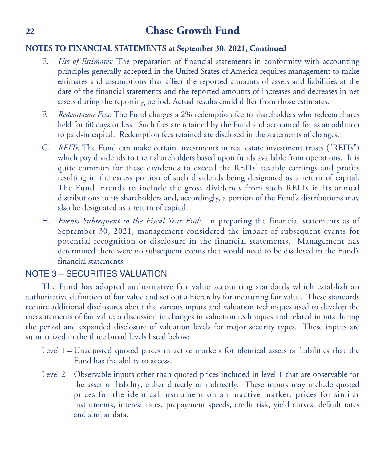### **NOTES TO FINANCIAL STATEMENTS at September 30, 2021, Continued**

- E. *Use of Estimates:* The preparation of financial statements in conformity with accounting principles generally accepted in the United States of America requires management to make estimates and assumptions that affect the reported amounts of assets and liabilities at the date of the financial statements and the reported amounts of increases and decreases in net assets during the reporting period. Actual results could differ from those estimates.
- F. *Redemption Fees:* The Fund charges a 2% redemption fee to shareholders who redeem shares held for 60 days or less. Such fees are retained by the Fund and accounted for as an addition to paid-in capital. Redemption fees retained are disclosed in the statements of changes.
- G. *REITs:* The Fund can make certain investments in real estate investment trusts ("REITs") which pay dividends to their shareholders based upon funds available from operations. It is quite common for these dividends to exceed the REITs' taxable earnings and profits resulting in the excess portion of such dividends being designated as a return of capital. The Fund intends to include the gross dividends from such REITs in its annual distributions to its shareholders and, accordingly, a portion of the Fund's distributions may also be designated as a return of capital.
- H. *Events Subsequent to the Fiscal Year End:* In preparing the financial statements as of September 30, 2021, management considered the impact of subsequent events for potential recognition or disclosure in the financial statements. Management has determined there were no subsequent events that would need to be disclosed in the Fund's financial statements.

### NOTE 3 – SECURITIES VALUATION

The Fund has adopted authoritative fair value accounting standards which establish an authoritative definition of fair value and set out a hierarchy for measuring fair value. These standards require additional disclosures about the various inputs and valuation techniques used to develop the measurements of fair value, a discussion in changes in valuation techniques and related inputs during the period and expanded disclosure of valuation levels for major security types. These inputs are summarized in the three broad levels listed below:

- Level 1 Unadjusted quoted prices in active markets for identical assets or liabilities that the Fund has the ability to access.
- Level 2 Observable inputs other than quoted prices included in level 1 that are observable for the asset or liability, either directly or indirectly. These inputs may include quoted prices for the identical instrument on an inactive market, prices for similar instruments, interest rates, prepayment speeds, credit risk, yield curves, default rates and similar data.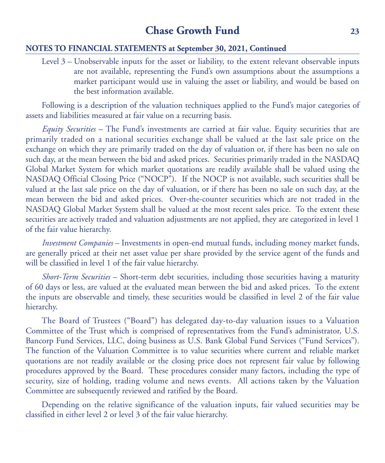#### **NOTES TO FINANCIAL STATEMENTS at September 30, 2021, Continued**

Level 3 – Unobservable inputs for the asset or liability, to the extent relevant observable inputs are not available, representing the Fund's own assumptions about the assumptions a market participant would use in valuing the asset or liability, and would be based on the best information available.

Following is a description of the valuation techniques applied to the Fund's major categories of assets and liabilities measured at fair value on a recurring basis.

*Equity Securities* – The Fund's investments are carried at fair value. Equity securities that are primarily traded on a national securities exchange shall be valued at the last sale price on the exchange on which they are primarily traded on the day of valuation or, if there has been no sale on such day, at the mean between the bid and asked prices. Securities primarily traded in the NASDAQ Global Market System for which market quotations are readily available shall be valued using the NASDAQ Official Closing Price ("NOCP"). If the NOCP is not available, such securities shall be valued at the last sale price on the day of valuation, or if there has been no sale on such day, at the mean between the bid and asked prices. Over-the-counter securities which are not traded in the NASDAQ Global Market System shall be valued at the most recent sales price. To the extent these securities are actively traded and valuation adjustments are not applied, they are categorized in level 1 of the fair value hierarchy.

*Investment Companies* – Investments in open-end mutual funds, including money market funds, are generally priced at their net asset value per share provided by the service agent of the funds and will be classified in level 1 of the fair value hierarchy.

*Short-Term Securities* – Short-term debt securities, including those securities having a maturity of 60 days or less, are valued at the evaluated mean between the bid and asked prices. To the extent the inputs are observable and timely, these securities would be classified in level 2 of the fair value hierarchy.

The Board of Trustees ("Board") has delegated day-to-day valuation issues to a Valuation Committee of the Trust which is comprised of representatives from the Fund's administrator, U.S. Bancorp Fund Services, LLC, doing business as U.S. Bank Global Fund Services ("Fund Services"). The function of the Valuation Committee is to value securities where current and reliable market quotations are not readily available or the closing price does not represent fair value by following procedures approved by the Board. These procedures consider many factors, including the type of security, size of holding, trading volume and news events. All actions taken by the Valuation Committee are subsequently reviewed and ratified by the Board.

Depending on the relative significance of the valuation inputs, fair valued securities may be classified in either level 2 or level 3 of the fair value hierarchy.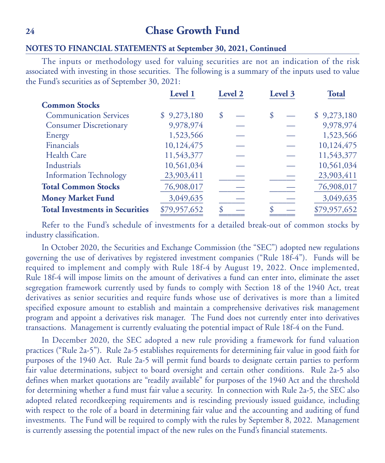#### **NOTES TO FINANCIAL STATEMENTS at September 30, 2021, Continued**

The inputs or methodology used for valuing securities are not an indication of the risk associated with investing in those securities. The following is a summary of the inputs used to value the Fund's securities as of September 30, 2021:

| Level 1      | Level 2 | Level 3 | <b>Total</b> |
|--------------|---------|---------|--------------|
|              |         |         |              |
| \$9,273,180  | \$      | \$      | \$9,273,180  |
| 9,978,974    |         |         | 9,978,974    |
| 1,523,566    |         |         | 1,523,566    |
| 10,124,475   |         |         | 10,124,475   |
| 11,543,377   |         |         | 11,543,377   |
| 10,561,034   |         |         | 10,561,034   |
| 23,903,411   |         |         | 23,903,411   |
| 76,908,017   |         |         | 76,908,017   |
| 3,049,635    |         |         | 3,049,635    |
| \$79,957,652 |         |         | \$79,957,652 |
|              |         |         |              |

Refer to the Fund's schedule of investments for a detailed break-out of common stocks by industry classification.

In October 2020, the Securities and Exchange Commission (the "SEC") adopted new regulations governing the use of derivatives by registered investment companies ("Rule 18f-4"). Funds will be required to implement and comply with Rule 18f-4 by August 19, 2022. Once implemented, Rule 18f-4 will impose limits on the amount of derivatives a fund can enter into, eliminate the asset segregation framework currently used by funds to comply with Section 18 of the 1940 Act, treat derivatives as senior securities and require funds whose use of derivatives is more than a limited specified exposure amount to establish and maintain a comprehensive derivatives risk management program and appoint a derivatives risk manager. The Fund does not currently enter into derivatives transactions. Management is currently evaluating the potential impact of Rule 18f-4 on the Fund.

In December 2020, the SEC adopted a new rule providing a framework for fund valuation practices ("Rule 2a-5"). Rule 2a-5 establishes requirements for determining fair value in good faith for purposes of the 1940 Act. Rule 2a-5 will permit fund boards to designate certain parties to perform fair value determinations, subject to board oversight and certain other conditions. Rule 2a-5 also defines when market quotations are "readily available" for purposes of the 1940 Act and the threshold for determining whether a fund must fair value a security. In connection with Rule 2a-5, the SEC also adopted related recordkeeping requirements and is rescinding previously issued guidance, including with respect to the role of a board in determining fair value and the accounting and auditing of fund investments. The Fund will be required to comply with the rules by September 8, 2022. Management is currently assessing the potential impact of the new rules on the Fund's financial statements.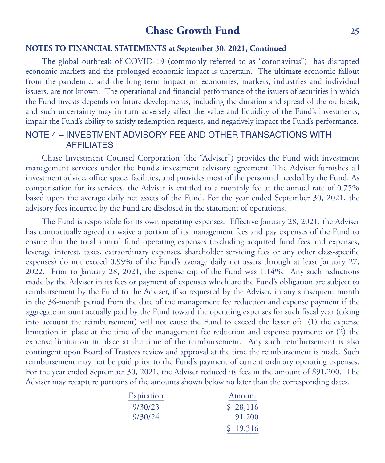#### **NOTES TO FINANCIAL STATEMENTS at September 30, 2021, Continued**

The global outbreak of COVID-19 (commonly referred to as "coronavirus") has disrupted economic markets and the prolonged economic impact is uncertain. The ultimate economic fallout from the pandemic, and the long-term impact on economies, markets, industries and individual issuers, are not known. The operational and financial performance of the issuers of securities in which the Fund invests depends on future developments, including the duration and spread of the outbreak, and such uncertainty may in turn adversely affect the value and liquidity of the Fund's investments, impair the Fund's ability to satisfy redemption requests, and negatively impact the Fund's performance.

### NOTE 4 – INVESTMENT ADVISORY FEE AND OTHER TRANSACTIONS WITH AFFILIATES

Chase Investment Counsel Corporation (the "Adviser") provides the Fund with investment management services under the Fund's investment advisory agreement. The Adviser furnishes all investment advice, office space, facilities, and provides most of the personnel needed by the Fund. As compensation for its services, the Adviser is entitled to a monthly fee at the annual rate of 0.75% based upon the average daily net assets of the Fund. For the year ended September 30, 2021, the advisory fees incurred by the Fund are disclosed in the statement of operations.

The Fund is responsible for its own operating expenses. Effective January 28, 2021, the Adviser has contractually agreed to waive a portion of its management fees and pay expenses of the Fund to ensure that the total annual fund operating expenses (excluding acquired fund fees and expenses, leverage interest, taxes, extraordinary expenses, shareholder servicing fees or any other class-specific expenses) do not exceed 0.99% of the Fund's average daily net assets through at least January 27, 2022. Prior to January 28, 2021, the expense cap of the Fund was 1.14%. Any such reductions made by the Adviser in its fees or payment of expenses which are the Fund's obligation are subject to reimbursement by the Fund to the Adviser, if so requested by the Adviser, in any subsequent month in the 36-month period from the date of the management fee reduction and expense payment if the aggregate amount actually paid by the Fund toward the operating expenses for such fiscal year (taking into account the reimbursement) will not cause the Fund to exceed the lesser of: (1) the expense limitation in place at the time of the management fee reduction and expense payment; or (2) the expense limitation in place at the time of the reimbursement. Any such reimbursement is also contingent upon Board of Trustees review and approval at the time the reimbursement is made. Such reimbursement may not be paid prior to the Fund's payment of current ordinary operating expenses. For the year ended September 30, 2021, the Adviser reduced its fees in the amount of \$91,200. The Adviser may recapture portions of the amounts shown below no later than the corresponding dates.

| Expiration | Amount    |
|------------|-----------|
| 9/30/23    | \$28,116  |
| 9/30/24    | 91,200    |
|            | \$119,316 |
|            |           |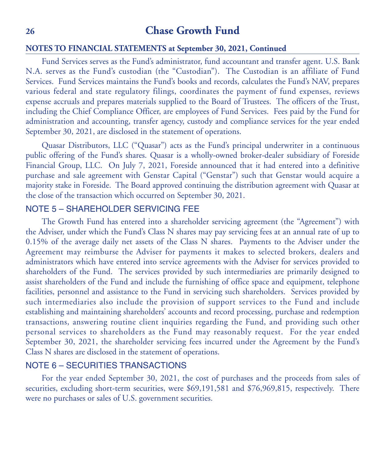#### **NOTES TO FINANCIAL STATEMENTS at September 30, 2021, Continued**

Fund Services serves as the Fund's administrator, fund accountant and transfer agent. U.S. Bank N.A. serves as the Fund's custodian (the "Custodian"). The Custodian is an affiliate of Fund Services. Fund Services maintains the Fund's books and records, calculates the Fund's NAV, prepares various federal and state regulatory filings, coordinates the payment of fund expenses, reviews expense accruals and prepares materials supplied to the Board of Trustees. The officers of the Trust, including the Chief Compliance Officer, are employees of Fund Services. Fees paid by the Fund for administration and accounting, transfer agency, custody and compliance services for the year ended September 30, 2021, are disclosed in the statement of operations.

Quasar Distributors, LLC ("Quasar") acts as the Fund's principal underwriter in a continuous public offering of the Fund's shares. Quasar is a wholly-owned broker-dealer subsidiary of Foreside Financial Group, LLC. On July 7, 2021, Foreside announced that it had entered into a definitive purchase and sale agreement with Genstar Capital ("Genstar") such that Genstar would acquire a majority stake in Foreside. The Board approved continuing the distribution agreement with Quasar at the close of the transaction which occurred on September 30, 2021.

### NOTE 5 – SHARFHOLDER SERVICING FFF

The Growth Fund has entered into a shareholder servicing agreement (the "Agreement") with the Adviser, under which the Fund's Class N shares may pay servicing fees at an annual rate of up to 0.15% of the average daily net assets of the Class N shares. Payments to the Adviser under the Agreement may reimburse the Adviser for payments it makes to selected brokers, dealers and administrators which have entered into service agreements with the Adviser for services provided to shareholders of the Fund. The services provided by such intermediaries are primarily designed to assist shareholders of the Fund and include the furnishing of office space and equipment, telephone facilities, personnel and assistance to the Fund in servicing such shareholders. Services provided by such intermediaries also include the provision of support services to the Fund and include establishing and maintaining shareholders' accounts and record processing, purchase and redemption transactions, answering routine client inquiries regarding the Fund, and providing such other personal services to shareholders as the Fund may reasonably request. For the year ended September 30, 2021, the shareholder servicing fees incurred under the Agreement by the Fund's Class N shares are disclosed in the statement of operations.

#### NOTE 6 – SECURITIES TRANSACTIONS

For the year ended September 30, 2021, the cost of purchases and the proceeds from sales of securities, excluding short-term securities, were \$69,191,581 and \$76,969,815, respectively. There were no purchases or sales of U.S. government securities.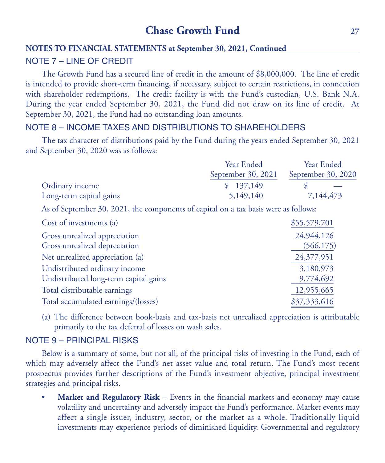# NOTE 7 – LINE OF CREDIT **NOTES TO FINANCIAL STATEMENTS at September 30, 2021, Continued**

The Growth Fund has a secured line of credit in the amount of \$8,000,000. The line of credit is intended to provide short-term financing, if necessary, subject to certain restrictions, in connection with shareholder redemptions. The credit facility is with the Fund's custodian, U.S. Bank N.A. During the year ended September 30, 2021, the Fund did not draw on its line of credit. At September 30, 2021, the Fund had no outstanding loan amounts.

### NOTE 8 – INCOME TAXES AND DISTRIBUTIONS TO SHAREHOLDERS

The tax character of distributions paid by the Fund during the years ended September 30, 2021 and September 30, 2020 was as follows:

|                         | Year Ended         | Year Ended               |
|-------------------------|--------------------|--------------------------|
|                         | September 30, 2021 | September 30, 2020       |
| Ordinary income         | \$137,149          | $\overline{\phantom{a}}$ |
| Long-term capital gains | 5,149,140          | 7,144,473                |

As of September 30, 2021, the components of capital on a tax basis were as follows:

| Cost of investments (a)               | \$55,579,701 |
|---------------------------------------|--------------|
| Gross unrealized appreciation         | 24,944,126   |
| Gross unrealized depreciation         | (566, 175)   |
| Net unrealized appreciation (a)       | 24,377,951   |
| Undistributed ordinary income         | 3,180,973    |
| Undistributed long-term capital gains | 9,774,692    |
| Total distributable earnings          | 12,955,665   |
| Total accumulated earnings/(losses)   | \$37,333,616 |

(a) The difference between book-basis and tax-basis net unrealized appreciation is attributable primarily to the tax deferral of losses on wash sales.

### NOTE 9 – PRINCIPAL RISKS

Below is a summary of some, but not all, of the principal risks of investing in the Fund, each of which may adversely affect the Fund's net asset value and total return. The Fund's most recent prospectus provides further descriptions of the Fund's investment objective, principal investment strategies and principal risks.

• **Market and Regulatory Risk** – Events in the financial markets and economy may cause volatility and uncertainty and adversely impact the Fund's performance. Market events may affect a single issuer, industry, sector, or the market as a whole. Traditionally liquid investments may experience periods of diminished liquidity. Governmental and regulatory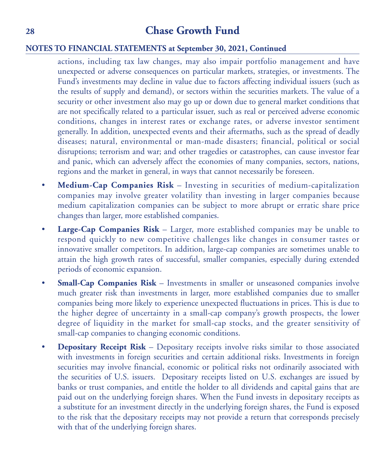### **NOTES TO FINANCIAL STATEMENTS at September 30, 2021, Continued**

actions, including tax law changes, may also impair portfolio management and have unexpected or adverse consequences on particular markets, strategies, or investments. The Fund's investments may decline in value due to factors affecting individual issuers (such as the results of supply and demand), or sectors within the securities markets. The value of a security or other investment also may go up or down due to general market conditions that are not specifically related to a particular issuer, such as real or perceived adverse economic conditions, changes in interest rates or exchange rates, or adverse investor sentiment generally. In addition, unexpected events and their aftermaths, such as the spread of deadly diseases; natural, environmental or man-made disasters; financial, political or social disruptions; terrorism and war; and other tragedies or catastrophes, can cause investor fear and panic, which can adversely affect the economies of many companies, sectors, nations, regions and the market in general, in ways that cannot necessarily be foreseen.

- **Medium-Cap Companies Risk** Investing in securities of medium-capitalization companies may involve greater volatility than investing in larger companies because medium capitalization companies can be subject to more abrupt or erratic share price changes than larger, more established companies.
- **Large-Cap Companies Risk** Larger, more established companies may be unable to respond quickly to new competitive challenges like changes in consumer tastes or innovative smaller competitors. In addition, large-cap companies are sometimes unable to attain the high growth rates of successful, smaller companies, especially during extended periods of economic expansion.
- **Small-Cap Companies Risk** Investments in smaller or unseasoned companies involve much greater risk than investments in larger, more established companies due to smaller companies being more likely to experience unexpected fluctuations in prices. This is due to the higher degree of uncertainty in a small-cap company's growth prospects, the lower degree of liquidity in the market for small-cap stocks, and the greater sensitivity of small-cap companies to changing economic conditions.
- **Depositary Receipt Risk** Depositary receipts involve risks similar to those associated with investments in foreign securities and certain additional risks. Investments in foreign securities may involve financial, economic or political risks not ordinarily associated with the securities of U.S. issuers. Depositary receipts listed on U.S. exchanges are issued by banks or trust companies, and entitle the holder to all dividends and capital gains that are paid out on the underlying foreign shares. When the Fund invests in depositary receipts as a substitute for an investment directly in the underlying foreign shares, the Fund is exposed to the risk that the depositary receipts may not provide a return that corresponds precisely with that of the underlying foreign shares.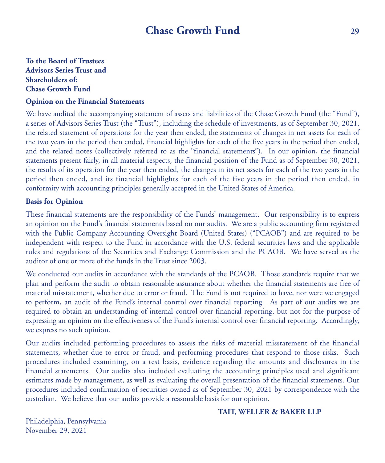#### **To the Board of Trustees Advisors Series Trust and Shareholders of: Chase Growth Fund**

#### **Opinion on the Financial Statements**

We have audited the accompanying statement of assets and liabilities of the Chase Growth Fund (the "Fund"), a series of Advisors Series Trust (the "Trust"), including the schedule of investments, as of September 30, 2021, the related statement of operations for the year then ended, the statements of changes in net assets for each of the two years in the period then ended, financial highlights for each of the five years in the period then ended, and the related notes (collectively referred to as the "financial statements"). In our opinion, the financial statements present fairly, in all material respects, the financial position of the Fund as of September 30, 2021, the results of its operation for the year then ended, the changes in its net assets for each of the two years in the period then ended, and its financial highlights for each of the five years in the period then ended, in conformity with accounting principles generally accepted in the United States of America.

#### **Basis for Opinion**

These financial statements are the responsibility of the Funds' management. Our responsibility is to express an opinion on the Fund's financial statements based on our audits. We are a public accounting firm registered with the Public Company Accounting Oversight Board (United States) ("PCAOB") and are required to be independent with respect to the Fund in accordance with the U.S. federal securities laws and the applicable rules and regulations of the Securities and Exchange Commission and the PCAOB. We have served as the auditor of one or more of the funds in the Trust since 2003.

We conducted our audits in accordance with the standards of the PCAOB. Those standards require that we plan and perform the audit to obtain reasonable assurance about whether the financial statements are free of material misstatement, whether due to error or fraud. The Fund is not required to have, nor were we engaged to perform, an audit of the Fund's internal control over financial reporting. As part of our audits we are required to obtain an understanding of internal control over financial reporting, but not for the purpose of expressing an opinion on the effectiveness of the Fund's internal control over financial reporting. Accordingly, we express no such opinion.

Our audits included performing procedures to assess the risks of material misstatement of the financial statements, whether due to error or fraud, and performing procedures that respond to those risks. Such procedures included examining, on a test basis, evidence regarding the amounts and disclosures in the financial statements. Our audits also included evaluating the accounting principles used and significant estimates made by management, as well as evaluating the overall presentation of the financial statements. Our procedures included confirmation of securities owned as of September 30, 2021 by correspondence with the custodian. We believe that our audits provide a reasonable basis for our opinion.

#### **TAIT, WELLER & BAKER LLP**

Philadelphia, Pennsylvania November 29, 2021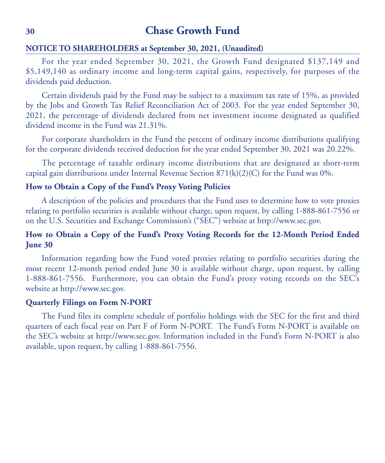#### **NOTICE TO SHAREHOLDERS at September 30, 2021, (Unaudited)**

For the year ended September 30, 2021, the Growth Fund designated \$137,149 and \$5,149,140 as ordinary income and long-term capital gains, respectively, for purposes of the dividends paid deduction.

Certain dividends paid by the Fund may be subject to a maximum tax rate of 15%, as provided by the Jobs and Growth Tax Relief Reconciliation Act of 2003. For the year ended September 30, 2021, the percentage of dividends declared from net investment income designated as qualified dividend income in the Fund was 21.31%.

For corporate shareholders in the Fund the percent of ordinary income distributions qualifying for the corporate dividends received deduction for the year ended September 30, 2021 was 20.22%.

The percentage of taxable ordinary income distributions that are designated as short-term capital gain distributions under Internal Revenue Section 871(k)(2)(C) for the Fund was 0%.

#### **How to Obtain a Copy of the Fund's Proxy Voting Policies**

A description of the policies and procedures that the Fund uses to determine how to vote proxies relating to portfolio securities is available without charge, upon request, by calling 1-888-861-7556 or on the U.S. Securities and Exchange Commission's ("SEC") website at http://www.sec.gov.

#### **How to Obtain a Copy of the Fund's Proxy Voting Records for the 12-Month Period Ended June 30**

Information regarding how the Fund voted proxies relating to portfolio securities during the most recent 12-month period ended June 30 is available without charge, upon request, by calling 1-888-861-7556. Furthermore, you can obtain the Fund's proxy voting records on the SEC's website at http://www.sec.gov.

#### **Quarterly Filings on Form N-PORT**

The Fund files its complete schedule of portfolio holdings with the SEC for the first and third quarters of each fiscal year on Part F of Form N-PORT. The Fund's Form N-PORT is available on the SEC's website at http://www.sec.gov. Information included in the Fund's Form N-PORT is also available, upon request, by calling 1-888-861-7556.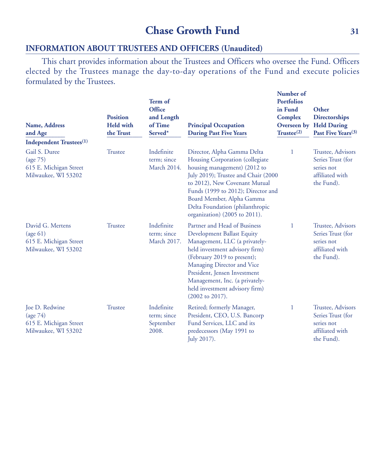### **INFORMATION ABOUT TRUSTEES AND OFFICERS (Unaudited)**

This chart provides information about the Trustees and Officers who oversee the Fund. Officers elected by the Trustees manage the day-to-day operations of the Fund and execute policies formulated by the Trustees.

| Name, Address<br>and Age                                                                  | <b>Position</b><br><b>Held with</b><br>the Trust | Term of<br>Office<br>and Length<br>of Time<br>Served* | <b>Principal Occupation</b><br><b>During Past Five Years</b>                                                                                                                                                                                                                                                                 | Number of<br><b>Portfolios</b><br>in Fund<br>Complex<br>Overseen by<br>$Trustee^{(2)}$ | Other<br><b>Directorships</b><br><b>Held During</b><br>Past Five Years <sup>(3)</sup> |
|-------------------------------------------------------------------------------------------|--------------------------------------------------|-------------------------------------------------------|------------------------------------------------------------------------------------------------------------------------------------------------------------------------------------------------------------------------------------------------------------------------------------------------------------------------------|----------------------------------------------------------------------------------------|---------------------------------------------------------------------------------------|
| <b>Independent Trustees</b> <sup>(1)</sup>                                                |                                                  |                                                       |                                                                                                                                                                                                                                                                                                                              |                                                                                        |                                                                                       |
| Gail S. Duree<br>(age 75)<br>615 E. Michigan Street<br>Milwaukee, WI 53202                | <b>Trustee</b>                                   | Indefinite<br>term; since<br>March 2014.              | Director, Alpha Gamma Delta<br>Housing Corporation (collegiate<br>housing management) (2012 to<br>July 2019); Trustee and Chair (2000<br>to 2012), New Covenant Mutual<br>Funds (1999 to 2012); Director and<br>Board Member, Alpha Gamma<br>Delta Foundation (philanthropic<br>organization) (2005 to 2011).                | 1                                                                                      | Trustee, Advisors<br>Series Trust (for<br>series not<br>affiliated with<br>the Fund). |
| David G. Mertens<br>(age 61)<br>615 E. Michigan Street<br>Milwaukee, WI 53202             | <b>Trustee</b>                                   | Indefinite<br>term; since<br>March 2017.              | Partner and Head of Business<br>Development Ballast Equity<br>Management, LLC (a privately-<br>held investment advisory firm)<br>(February 2019 to present);<br>Managing Director and Vice<br>President, Jensen Investment<br>Management, Inc. (a privately-<br>held investment advisory firm)<br>$(2002 \text{ to } 2017).$ | 1                                                                                      | Trustee, Advisors<br>Series Trust (for<br>series not<br>affiliated with<br>the Fund). |
| Joe D. Redwine<br>$\frac{2}{9}$ (age 74)<br>615 E. Michigan Street<br>Milwaukee, WI 53202 | <b>Trustee</b>                                   | Indefinite<br>term; since<br>September<br>2008.       | Retired; formerly Manager,<br>President, CEO, U.S. Bancorp<br>Fund Services, LLC and its<br>predecessors (May 1991 to<br>July 2017).                                                                                                                                                                                         | 1                                                                                      | Trustee, Advisors<br>Series Trust (for<br>series not<br>affiliated with<br>the Fund). |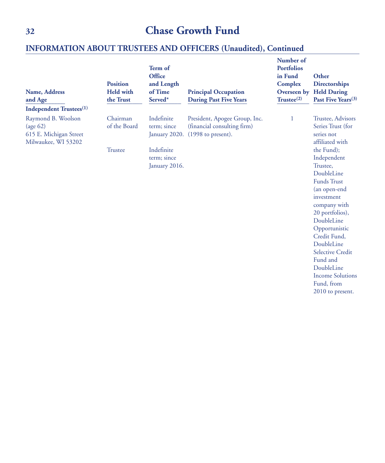## **INFORMATION ABOUT TRUSTEES AND OFFICERS (Unaudited), Continued**

| Name, Address<br>and Age                                                                             | <b>Position</b><br><b>Held with</b><br>the Trust | Term of<br>Office<br>and Length<br>of Time<br>Served*                                    | <b>Principal Occupation</b><br><b>During Past Five Years</b>                       | Number of<br><b>Portfolios</b><br>in Fund<br><b>Complex</b><br>Overseen by<br>$Trustee^{(2)}$ | Other<br><b>Directorships</b><br><b>Held During</b><br>Past Five Years <sup>(3)</sup>                                                                                                                                                                                                                                                   |
|------------------------------------------------------------------------------------------------------|--------------------------------------------------|------------------------------------------------------------------------------------------|------------------------------------------------------------------------------------|-----------------------------------------------------------------------------------------------|-----------------------------------------------------------------------------------------------------------------------------------------------------------------------------------------------------------------------------------------------------------------------------------------------------------------------------------------|
| Independent Trustees <sup>(1)</sup>                                                                  |                                                  |                                                                                          |                                                                                    |                                                                                               |                                                                                                                                                                                                                                                                                                                                         |
| Raymond B. Woolson<br>$\left(\text{age } 62\right)$<br>615 E. Michigan Street<br>Milwaukee, WI 53202 | Chairman<br>of the Board<br>Trustee              | Indefinite<br>term; since<br>January 2020.<br>Indefinite<br>term; since<br>January 2016. | President, Apogee Group, Inc.<br>(financial consulting firm)<br>(1998 to present). | $\mathbf{1}$                                                                                  | Trustee, Advisors<br>Series Trust (for<br>series not<br>affiliated with<br>the Fund);<br>Independent<br>Trustee,<br>DoubleLine<br><b>Funds Trust</b><br>(an open-end<br>investment<br>company with<br>20 portfolios),<br>DoubleLine<br>Opportunistic<br>Credit Fund,<br>DoubleLine<br><b>Selective Credit</b><br>Fund and<br>DoubleLine |
|                                                                                                      |                                                  |                                                                                          |                                                                                    |                                                                                               | <b>Income Solutions</b>                                                                                                                                                                                                                                                                                                                 |
|                                                                                                      |                                                  |                                                                                          |                                                                                    |                                                                                               | Fund, from                                                                                                                                                                                                                                                                                                                              |
|                                                                                                      |                                                  |                                                                                          |                                                                                    |                                                                                               | 2010 to present.                                                                                                                                                                                                                                                                                                                        |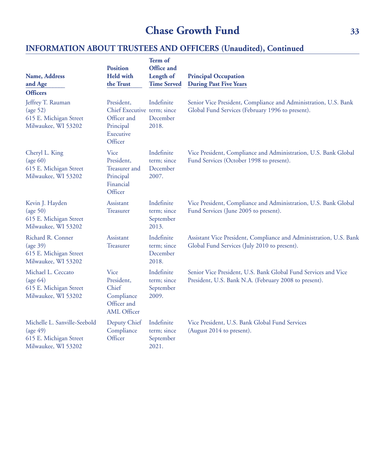## **INFORMATION ABOUT TRUSTEES AND OFFICERS (Unaudited), Continued**

| Name, Address<br>and Age                                                                          | <b>Position</b><br><b>Held with</b><br>the Trust                                              | Term of<br>Office and<br>Length of<br><b>Time Served</b> | <b>Principal Occupation</b><br><b>During Past Five Years</b>                                                            |
|---------------------------------------------------------------------------------------------------|-----------------------------------------------------------------------------------------------|----------------------------------------------------------|-------------------------------------------------------------------------------------------------------------------------|
| <b>Officers</b><br>Jeffrey T. Rauman<br>(age 52)<br>615 E. Michigan Street<br>Milwaukee, WI 53202 | President,<br>Chief Executive term; since<br>Officer and<br>Principal<br>Executive<br>Officer | Indefinite<br>December<br>2018.                          | Senior Vice President, Compliance and Administration, U.S. Bank<br>Global Fund Services (February 1996 to present).     |
| Cheryl L. King<br>(age 60)<br>615 E. Michigan Street<br>Milwaukee, WI 53202                       | Vice<br>President,<br>Treasurer and<br>Principal<br>Financial<br>Officer                      | Indefinite<br>term; since<br>December<br>2007.           | Vice President, Compliance and Administration, U.S. Bank Global<br>Fund Services (October 1998 to present).             |
| Kevin J. Hayden<br>(age 50)<br>615 E. Michigan Street<br>Milwaukee, WI 53202                      | Assistant<br>Treasurer                                                                        | Indefinite<br>term; since<br>September<br>2013.          | Vice President, Compliance and Administration, U.S. Bank Global<br>Fund Services (June 2005 to present).                |
| Richard R. Conner<br>(age 39)<br>615 E. Michigan Street<br>Milwaukee, WI 53202                    | Assistant<br>Treasurer                                                                        | Indefinite<br>term; since<br>December<br>2018.           | Assistant Vice President, Compliance and Administration, U.S. Bank<br>Global Fund Services (July 2010 to present).      |
| Michael L. Ceccato<br>(age 64)<br>615 E. Michigan Street<br>Milwaukee, WI 53202                   | <b>Vice</b><br>President,<br>Chief<br>Compliance<br>Officer and<br><b>AML</b> Officer         | Indefinite<br>term; since<br>September<br>2009.          | Senior Vice President, U.S. Bank Global Fund Services and Vice<br>President, U.S. Bank N.A. (February 2008 to present). |
| Michelle L. Sanville-Seebold<br>(age 49)<br>615 E. Michigan Street<br>Milwaukee, WI 53202         | Deputy Chief<br>Compliance<br>Officer                                                         | Indefinite<br>term; since<br>September<br>2021.          | Vice President, U.S. Bank Global Fund Services<br>(August 2014 to present).                                             |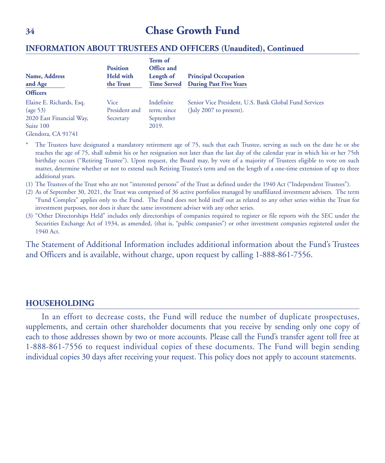#### **INFORMATION ABOUT TRUSTEES AND OFFICERS (Unaudited), Continued**

| Name, Address<br>and Age<br><b>Officers</b>                                                                       | <b>Position</b><br><b>Held with</b><br>the Trust | Term of<br>Office and<br>Length of<br><b>Time Served</b> | <b>Principal Occupation</b><br><b>During Past Five Years</b>                     |
|-------------------------------------------------------------------------------------------------------------------|--------------------------------------------------|----------------------------------------------------------|----------------------------------------------------------------------------------|
| Elaine E. Richards, Esq.<br>$\frac{1}{2}$ (age 53)<br>2020 East Financial Way,<br>Suite 100<br>Glendora, CA 91741 | Vice<br>President and<br>Secretary               | Indefinite<br>term; since<br>September<br>2019.          | Senior Vice President, U.S. Bank Global Fund Services<br>(July 2007 to present). |

The Trustees have designated a mandatory retirement age of 75, such that each Trustee, serving as such on the date he or she reaches the age of 75, shall submit his or her resignation not later than the last day of the calendar year in which his or her 75th birthday occurs ("Retiring Trustee"). Upon request, the Board may, by vote of a majority of Trustees eligible to vote on such matter, determine whether or not to extend such Retiring Trustee's term and on the length of a one-time extension of up to three additional years.

- (1) The Trustees of the Trust who are not "interested persons" of the Trust as defined under the 1940 Act ("Independent Trustees").
- (2) As of September 30, 2021, the Trust was comprised of 36 active portfolios managed by unaffiliated investment advisers. The term "Fund Complex" applies only to the Fund. The Fund does not hold itself out as related to any other series within the Trust for investment purposes, nor does it share the same investment adviser with any other series.
- (3) "Other Directorships Held" includes only directorships of companies required to register or file reports with the SEC under the Securities Exchange Act of 1934, as amended, (that is, "public companies") or other investment companies registered under the 1940 Act.

The Statement of Additional Information includes additional information about the Fund's Trustees and Officers and is available, without charge, upon request by calling 1-888-861-7556.

#### **HOUSEHOLDING**

In an effort to decrease costs, the Fund will reduce the number of duplicate prospectuses, supplements, and certain other shareholder documents that you receive by sending only one copy of each to those addresses shown by two or more accounts. Please call the Fund's transfer agent toll free at 1-888-861-7556 to request individual copies of these documents. The Fund will begin sending individual copies 30 days after receiving your request. This policy does not apply to account statements.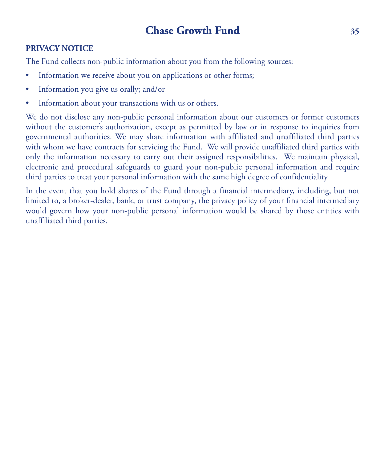### **PRIVACY NOTICE**

The Fund collects non-public information about you from the following sources:

- Information we receive about you on applications or other forms;
- Information you give us orally; and/or
- Information about your transactions with us or others.

We do not disclose any non-public personal information about our customers or former customers without the customer's authorization, except as permitted by law or in response to inquiries from governmental authorities. We may share information with affiliated and unaffiliated third parties with whom we have contracts for servicing the Fund. We will provide unaffiliated third parties with only the information necessary to carry out their assigned responsibilities. We maintain physical, electronic and procedural safeguards to guard your non-public personal information and require third parties to treat your personal information with the same high degree of confidentiality.

In the event that you hold shares of the Fund through a financial intermediary, including, but not limited to, a broker-dealer, bank, or trust company, the privacy policy of your financial intermediary would govern how your non-public personal information would be shared by those entities with unaffiliated third parties.